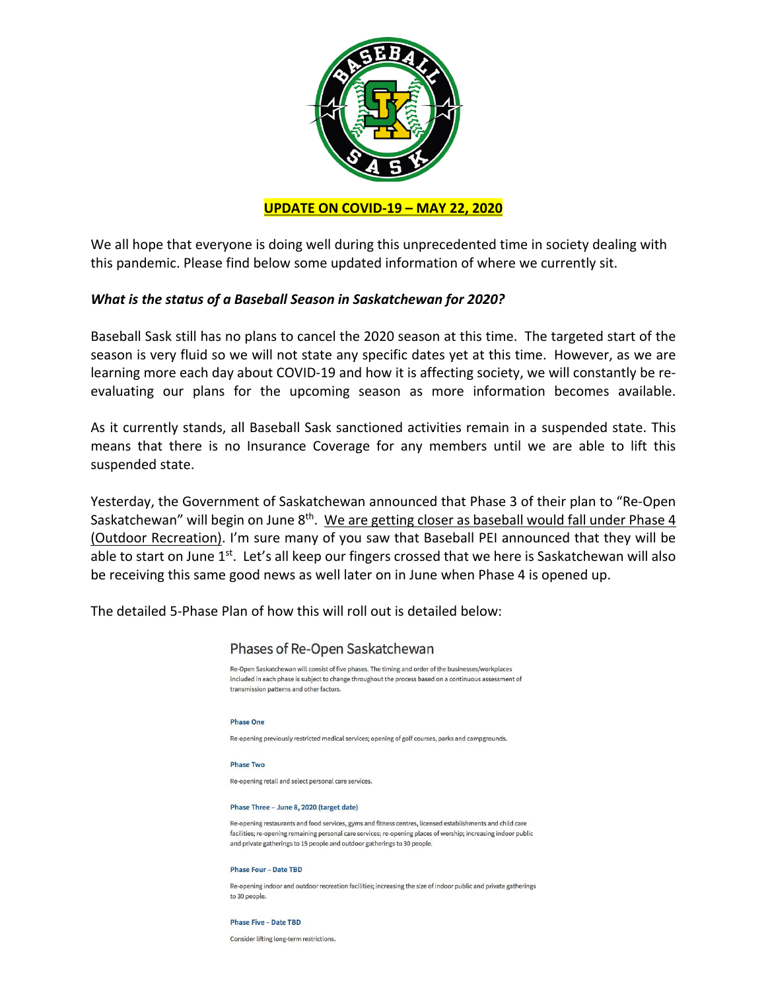

We all hope that everyone is doing well during this unprecedented time in society dealing with this pandemic. Please find below some updated information of where we currently sit.

#### *What is the status of a Baseball Season in Saskatchewan for 2020?*

Baseball Sask still has no plans to cancel the 2020 season at this time. The targeted start of the season is very fluid so we will not state any specific dates yet at this time. However, as we are learning more each day about COVID-19 and how it is affecting society, we will constantly be reevaluating our plans for the upcoming season as more information becomes available.

As it currently stands, all Baseball Sask sanctioned activities remain in a suspended state. This means that there is no Insurance Coverage for any members until we are able to lift this suspended state.

Yesterday, the Government of Saskatchewan announced that Phase 3 of their plan to "Re-Open Saskatchewan" will begin on June 8<sup>th</sup>. We are getting closer as baseball would fall under Phase 4 (Outdoor Recreation). I'm sure many of you saw that Baseball PEI announced that they will be able to start on June 1<sup>st</sup>. Let's all keep our fingers crossed that we here is Saskatchewan will also be receiving this same good news as well later on in June when Phase 4 is opened up.

The detailed 5-Phase Plan of how this will roll out is detailed below:



Consider lifting long-term restrictions.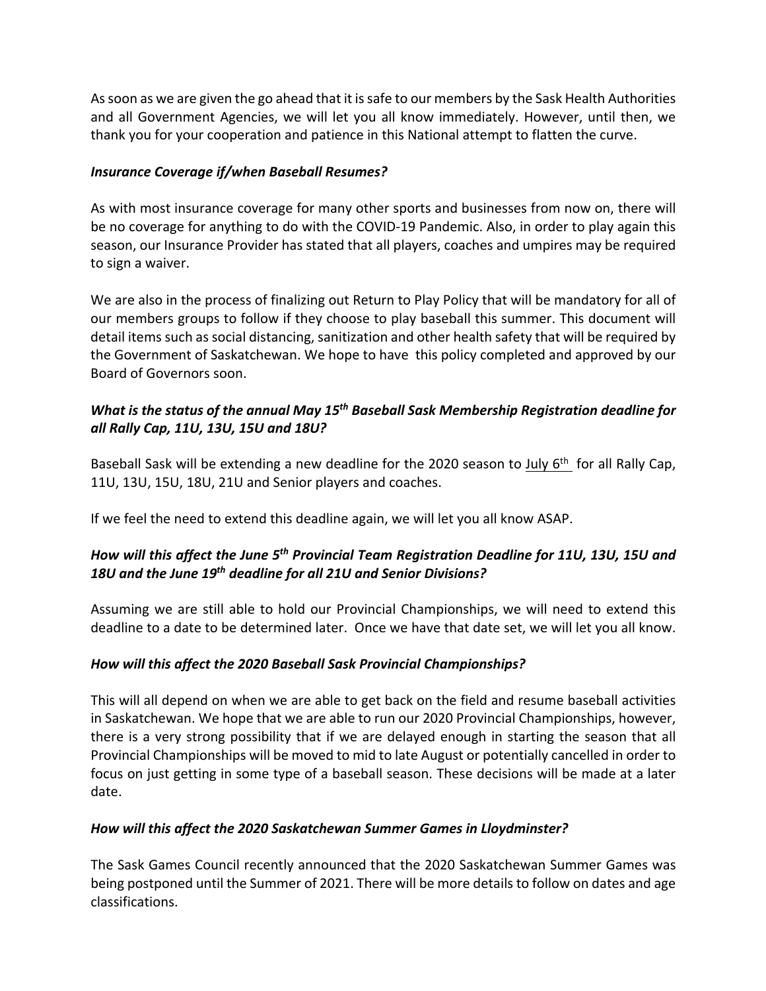As soon as we are given the go ahead that it is safe to our members by the Sask Health Authorities and all Government Agencies, we will let you all know immediately. However, until then, we thank you for your cooperation and patience in this National attempt to flatten the curve.

## *Insurance Coverage if/when Baseball Resumes?*

As with most insurance coverage for many other sports and businesses from now on, there will be no coverage for anything to do with the COVID-19 Pandemic. Also, in order to play again this season, our Insurance Provider has stated that all players, coaches and umpires may be required to sign a waiver.

We are also in the process of finalizing out Return to Play Policy that will be mandatory for all of our members groups to follow if they choose to play baseball this summer. This document will detail items such as social distancing, sanitization and other health safety that will be required by the Government of Saskatchewan. We hope to have this policy completed and approved by our Board of Governors soon.

## *What is the status of the annual May 15th Baseball Sask Membership Registration deadline for all Rally Cap, 11U, 13U, 15U and 18U?*

Baseball Sask will be extending a new deadline for the 2020 season to July 6<sup>th</sup> for all Rally Cap, 11U, 13U, 15U, 18U, 21U and Senior players and coaches.

If we feel the need to extend this deadline again, we will let you all know ASAP.

# *How will this affect the June 5th Provincial Team Registration Deadline for 11U, 13U, 15U and 18U and the June 19th deadline for all 21U and Senior Divisions?*

Assuming we are still able to hold our Provincial Championships, we will need to extend this deadline to a date to be determined later. Once we have that date set, we will let you all know.

# *How will this affect the 2020 Baseball Sask Provincial Championships?*

This will all depend on when we are able to get back on the field and resume baseball activities in Saskatchewan. We hope that we are able to run our 2020 Provincial Championships, however, there is a very strong possibility that if we are delayed enough in starting the season that all Provincial Championships will be moved to mid to late August or potentially cancelled in order to focus on just getting in some type of a baseball season. These decisions will be made at a later date.

### *How will this affect the 2020 Saskatchewan Summer Games in Lloydminster?*

The Sask Games Council recently announced that the 2020 Saskatchewan Summer Games was being postponed until the Summer of 2021. There will be more details to follow on dates and age classifications.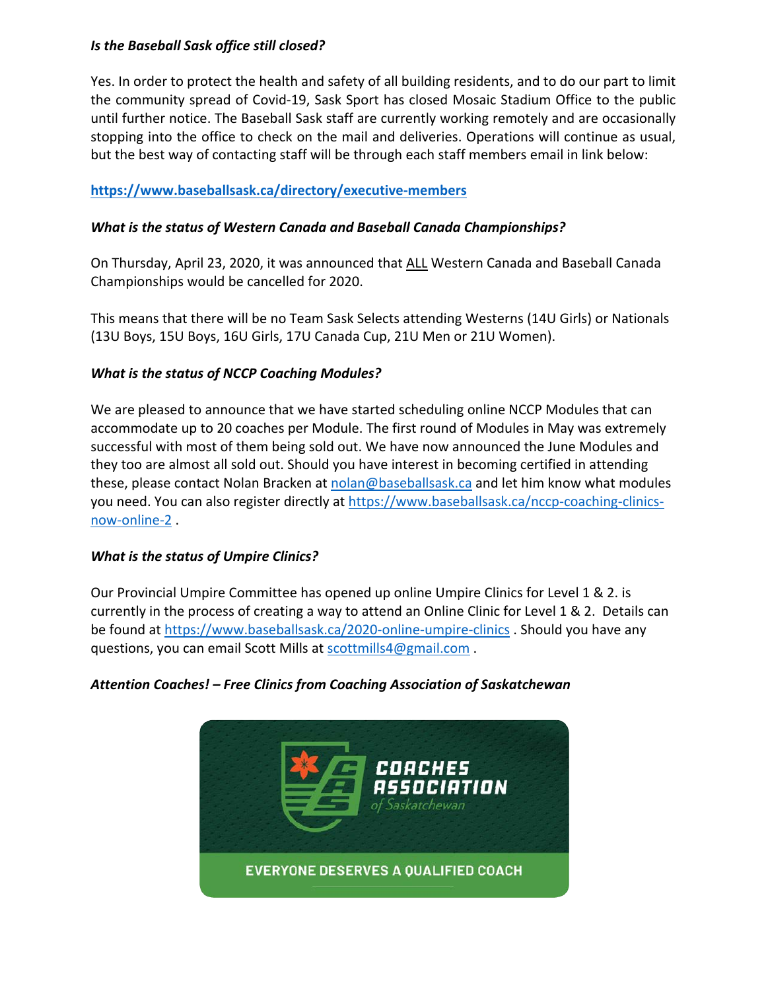#### *Is the Baseball Sask office still closed?*

Yes. In order to protect the health and safety of all building residents, and to do our part to limit the community spread of Covid-19, Sask Sport has closed Mosaic Stadium Office to the public until further notice. The Baseball Sask staff are currently working remotely and are occasionally stopping into the office to check on the mail and deliveries. Operations will continue as usual, but the best way of contacting staff will be through each staff members email in link below:

### **https://www.baseballsask.ca/directory/executive-members**

#### *What is the status of Western Canada and Baseball Canada Championships?*

On Thursday, April 23, 2020, it was announced that ALL Western Canada and Baseball Canada Championships would be cancelled for 2020.

This means that there will be no Team Sask Selects attending Westerns (14U Girls) or Nationals (13U Boys, 15U Boys, 16U Girls, 17U Canada Cup, 21U Men or 21U Women).

#### *What is the status of NCCP Coaching Modules?*

We are pleased to announce that we have started scheduling online NCCP Modules that can accommodate up to 20 coaches per Module. The first round of Modules in May was extremely successful with most of them being sold out. We have now announced the June Modules and they too are almost all sold out. Should you have interest in becoming certified in attending these, please contact Nolan Bracken at nolan@baseballsask.ca and let him know what modules you need. You can also register directly at https://www.baseballsask.ca/nccp-coaching-clinicsnow-online-2 .

### *What is the status of Umpire Clinics?*

Our Provincial Umpire Committee has opened up online Umpire Clinics for Level 1 & 2. is currently in the process of creating a way to attend an Online Clinic for Level 1 & 2. Details can be found at https://www.baseballsask.ca/2020-online-umpire-clinics . Should you have any questions, you can email Scott Mills at scottmills4@gmail.com.

### *Attention Coaches! – Free Clinics from Coaching Association of Saskatchewan*